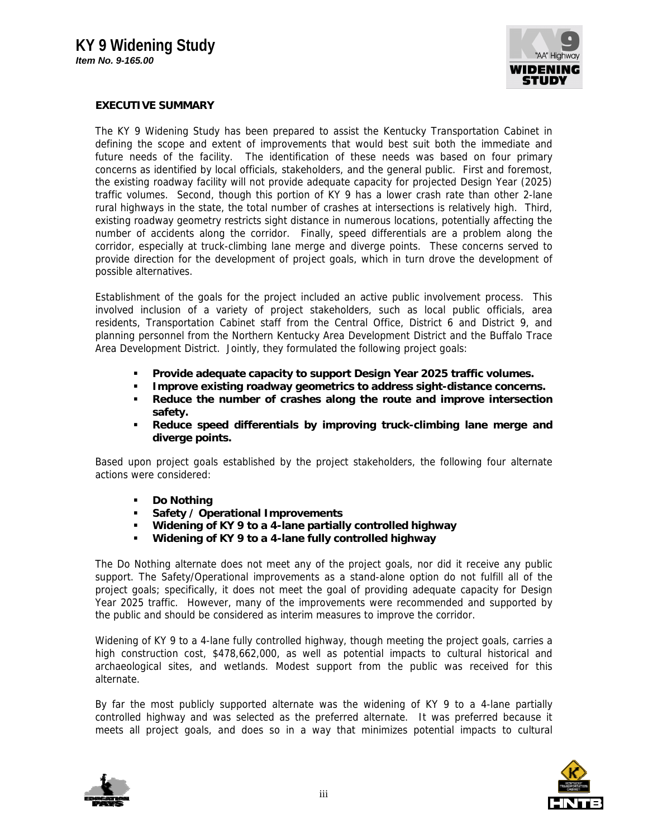

## **EXECUTIVE SUMMARY**

The KY 9 Widening Study has been prepared to assist the Kentucky Transportation Cabinet in defining the scope and extent of improvements that would best suit both the immediate and future needs of the facility. The identification of these needs was based on four primary concerns as identified by local officials, stakeholders, and the general public. First and foremost, the existing roadway facility will not provide adequate capacity for projected Design Year (2025) traffic volumes. Second, though this portion of KY 9 has a lower crash rate than other 2-lane rural highways in the state, the total number of crashes at intersections is relatively high. Third, existing roadway geometry restricts sight distance in numerous locations, potentially affecting the number of accidents along the corridor. Finally, speed differentials are a problem along the corridor, especially at truck-climbing lane merge and diverge points. These concerns served to provide direction for the development of project goals, which in turn drove the development of possible alternatives.

Establishment of the goals for the project included an active public involvement process. This involved inclusion of a variety of project stakeholders, such as local public officials, area residents, Transportation Cabinet staff from the Central Office, District 6 and District 9, and planning personnel from the Northern Kentucky Area Development District and the Buffalo Trace Area Development District. Jointly, they formulated the following project goals:

- **Provide adequate capacity to support Design Year 2025 traffic volumes.**
- **Improve existing roadway geometrics to address sight-distance concerns.**
- **Reduce the number of crashes along the route and improve intersection safety.**
- **Reduce speed differentials by improving truck-climbing lane merge and diverge points.**

Based upon project goals established by the project stakeholders, the following four alternate actions were considered:

- **Do Nothing**
- **Safety / Operational Improvements**
- **Widening of KY 9 to a 4-lane partially controlled highway**
- **Widening of KY 9 to a 4-lane fully controlled highway**

The Do Nothing alternate does not meet any of the project goals, nor did it receive any public support. The Safety/Operational improvements as a stand-alone option do not fulfill all of the project goals; specifically, it does not meet the goal of providing adequate capacity for Design Year 2025 traffic. However, many of the improvements were recommended and supported by the public and should be considered as interim measures to improve the corridor.

Widening of KY 9 to a 4-lane fully controlled highway, though meeting the project goals, carries a high construction cost, \$478,662,000, as well as potential impacts to cultural historical and archaeological sites, and wetlands. Modest support from the public was received for this alternate.

By far the most publicly supported alternate was the widening of KY 9 to a 4-lane partially controlled highway and was selected as the preferred alternate. It was preferred because it meets all project goals, and does so in a way that minimizes potential impacts to cultural